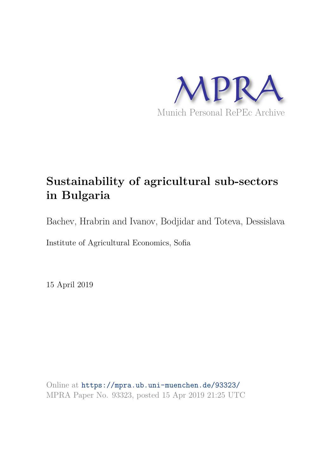

# **Sustainability of agricultural sub-sectors in Bulgaria**

Bachev, Hrabrin and Ivanov, Bodjidar and Toteva, Dessislava

Institute of Agricultural Economics, Sofia

15 April 2019

Online at https://mpra.ub.uni-muenchen.de/93323/ MPRA Paper No. 93323, posted 15 Apr 2019 21:25 UTC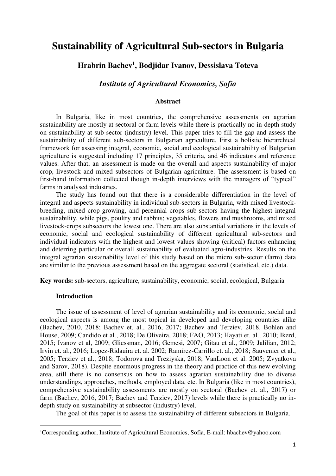## **Sustainability of Agricultural Sub-sectors in Bulgaria**

## **Hrabrin Bachev<sup>1</sup> , Bodjidar Ivanov, Dessislava Toteva**

## *Institute of Agricultural Economics, Sofia*

#### **Abstract**

In Bulgaria, like in most countries, the comprehensive assessments on agrarian sustainability are mostly at sectoral or farm levels while there is practically no in-depth study on sustainability at sub-sector (industry) level. This paper tries to fill the gap and assess the sustainability of different sub-sectors in Bulgarian agriculture. First a holistic hierarchical framework for assessing integral, economic, social and ecological sustainability of Bulgarian agriculture is suggested including 17 principles, 35 criteria, and 46 indicators and reference values. After that, an assessment is made on the overall and aspects sustainability of major crop, livestock and mixed subsectors of Bulgarian agriculture. The assessment is based on first-hand information collected though in-depth interviews with the managers of "typical" farms in analysed industries.

The study has found out that there is a considerable differentiation in the level of integral and aspects sustainability in individual sub-sectors in Bulgaria, with mixed livestockbreeding, mixed crop-growing, and perennial crops sub-sectors having the highest integral sustainability, while pigs, poultry and rabbits; vegetables, flowers and mushrooms, and mixed livestock-crops subsectors the lowest one. There are also substantial variations in the levels of economic, social and ecological sustainability of different agricultural sub-sectors and individual indicators with the highest and lowest values showing (critical) factors enhancing and deterring particular or overall sustainability of evaluated agro-industries. Results on the integral agrarian sustainability level of this study based on the micro sub-sector (farm) data are similar to the previous assessment based on the aggregate sectoral (statistical, etc.) data.

**Key words:** sub-sectors, agriculture, sustainability, economic, social, ecological, Bulgaria

#### **Introduction**

 $\overline{a}$ 

The issue of assessment of level of agrarian sustainability and its economic, social and ecological aspects is among the most topical in developed and developing countries alike (Bachev, 2010, 2018; Bachev et. al., 2016, 2017; Bachev and Terziev, 2018, Bohlen and House, 2009; Candido et al., 2018; De Oliveira, 2018; FAO, 2013; Hayati et. al., 2010; Ikerd, 2015; Ivanov et al, 2009; Gliessman, 2016; Gemesi, 2007; Gitau et al., 2009; Jalilian, 2012; Irvin et. al., 2016; Lopez-Ridauira et. al. 2002; Ramírez-Carrillo et. al., 2018; Sauvenier et al., 2005; Terziev et al., 2018; Todorova and Treziyska, 2018; VanLoon et al. 2005; Zvyatkova and Sarov, 2018). Despite enormous progress in the theory and practice of this new evolving area, still there is no consensus on how to assess agrarian sustainability due to diverse understandings, approaches, methods, employed data, etc. In Bulgaria (like in most countries), comprehensive sustainability assessments are mostly on sectoral (Bachev et. al., 2017) or farm (Bachev, 2016, 2017; Bachev and Terziev, 2017) levels while there is practically no indepth study on sustainability at subsector (industry) level.

The goal of this paper is to assess the sustainability of different subsectors in Bulgaria.

<sup>1</sup>Corresponding author, Institute of Agricultural Economics, Sofia, E-mail: hbachev@yahoo.com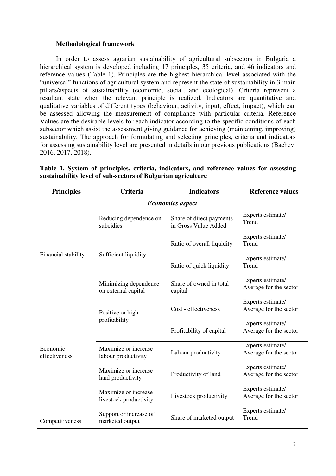#### **Methodological framework**

In order to assess agrarian sustainability of agricultural subsectors in Bulgaria a hierarchical system is developed including 17 principles, 35 criteria, and 46 indicators and reference values (Table 1). Principles are the highest hierarchical level associated with the "universal" functions of agricultural system and represent the state of sustainability in 3 main pillars/aspects of sustainability (economic, social, and ecological). Criteria represent a resultant state when the relevant principle is realized. Indicators are quantitative and qualitative variables of different types (behaviour, activity, input, effect, impact), which can be assessed allowing the measurement of compliance with particular criteria. Reference Values are the desirable levels for each indicator according to the specific conditions of each subsector which assist the assessment giving guidance for achieving (maintaining, improving) sustainability. The approach for formulating and selecting principles, criteria and indicators for assessing sustainability level are presented in details in our previous publications (Bachev, 2016, 2017, 2018).

| <b>Principles</b>         | <b>Criteria</b>                                | <b>Indicators</b>                                | <b>Reference values</b>                     |  |  |  |  |
|---------------------------|------------------------------------------------|--------------------------------------------------|---------------------------------------------|--|--|--|--|
| <b>Economics aspect</b>   |                                                |                                                  |                                             |  |  |  |  |
|                           | Reducing dependence on<br>subcidies            | Share of direct payments<br>in Gross Value Added | Experts estimate/<br>Trend                  |  |  |  |  |
|                           |                                                | Ratio of overall liquidity                       | Experts estimate/<br>Trend                  |  |  |  |  |
| Financial stability       | Sufficient liquidity                           | Ratio of quick liquidity                         | Experts estimate/<br>Trend                  |  |  |  |  |
|                           | Minimizing dependence<br>on external capital   | Share of owned in total<br>capital               | Experts estimate/<br>Average for the sector |  |  |  |  |
| Economic<br>effectiveness | Positive or high                               | Cost - effectiveness                             | Experts estimate/<br>Average for the sector |  |  |  |  |
|                           | profitability                                  | Profitability of capital                         | Experts estimate/<br>Average for the sector |  |  |  |  |
|                           | Maximize or increase<br>labour productivity    | Labour productivity                              | Experts estimate/<br>Average for the sector |  |  |  |  |
|                           | Maximize or increase<br>land productivity      | Productivity of land                             | Experts estimate/<br>Average for the sector |  |  |  |  |
|                           | Maximize or increase<br>livestock productivity | Livestock productivity                           | Experts estimate/<br>Average for the sector |  |  |  |  |
| Competitiveness           | Support or increase of<br>marketed output      | Share of marketed output                         | Experts estimate/<br>Trend                  |  |  |  |  |

**Table 1. System of principles, criteria, indicators, and reference values for assessing sustainability level of sub-sectors of Bulgarian agriculture**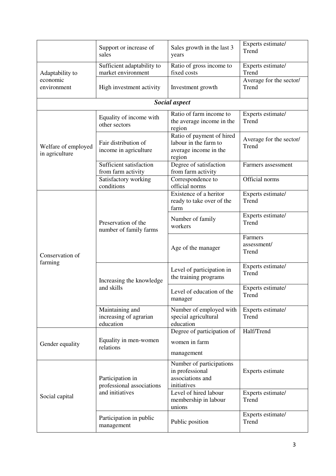|                                       | Support or increase of<br>sales                        | Sales growth in the last 3<br>years                                                   | Experts estimate/<br>Trend       |  |
|---------------------------------------|--------------------------------------------------------|---------------------------------------------------------------------------------------|----------------------------------|--|
| Adaptability to                       | Sufficient adaptability to<br>market environment       | Ratio of gross income to<br>fixed costs                                               | Experts estimate/<br>Trend       |  |
| economic<br>environment               | High investment activity                               | Investment growth                                                                     | Average for the sector/<br>Trend |  |
|                                       |                                                        | Social aspect                                                                         |                                  |  |
|                                       | Equality of income with<br>other sectors               | Ratio of farm income to<br>the average income in the<br>region                        | Experts estimate/<br>Trend       |  |
| Welfare of employed<br>in agriculture | Fair distribution of<br>income in agriculture          | Ratio of payment of hired<br>labour in the farm to<br>average income in the<br>region | Average for the sector/<br>Trend |  |
|                                       | Sufficient satisfaction<br>from farm activity          | Degree of satisfaction<br>from farm activity                                          | Farmers assessment               |  |
|                                       | Satisfactory working<br>conditions                     | Correspondence to<br>official norms                                                   | Official norms                   |  |
| Conservation of<br>farming            |                                                        | Existence of a heritor<br>ready to take over of the<br>farm                           | Experts estimate/<br>Trend       |  |
|                                       | Preservation of the<br>number of family farms          | Number of family<br>workers                                                           | Experts estimate/<br>Trend       |  |
|                                       |                                                        | Age of the manager                                                                    | Farmers<br>assessment/<br>Trend  |  |
|                                       | Increasing the knowledge                               | Level of participation in<br>the training programs                                    | Experts estimate/<br>Trend       |  |
|                                       | and skills                                             | Level of education of the<br>manager                                                  | Experts estimate/<br>Trend       |  |
|                                       | Maintaining and<br>increasing of agrarian<br>education | Number of employed with<br>special agricultural<br>education                          | Experts estimate/<br>Trend       |  |
| Gender equality                       | Equality in men-women<br>relations                     | Degree of participation of<br>women in farm<br>management                             | Half/Trend                       |  |
| Social capital                        | Participation in<br>professional associations          | Number of participations<br>in professional<br>associations and<br>initiatives        | Experts estimate                 |  |
|                                       | and initiatives                                        | Level of hired labour<br>membership in labour<br>unions                               | Experts estimate/<br>Trend       |  |
|                                       | Participation in public<br>management                  | Public position                                                                       | Experts estimate/<br>Trend       |  |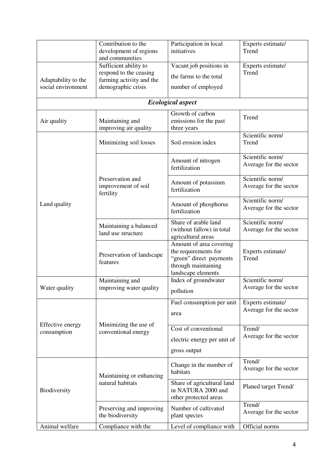|                                           | Contribution to the                          | Participation in local                          | Experts estimate/                          |  |
|-------------------------------------------|----------------------------------------------|-------------------------------------------------|--------------------------------------------|--|
| development of regions<br>and communities |                                              | initiatives                                     | Trend                                      |  |
|                                           | Sufficient ability to                        | Vacant job positions in                         | Experts estimate/                          |  |
|                                           | respond to the ceasing                       |                                                 | Trend                                      |  |
| Adaptability to the                       | farming activity and the                     | the farms to the total                          |                                            |  |
| social environment                        | demographic crisis                           | number of employed                              |                                            |  |
|                                           |                                              | <b>Ecological aspect</b>                        |                                            |  |
|                                           |                                              | Growth of carbon                                | Trend                                      |  |
| Air quality                               | Maintaining and                              | emissions for the past                          |                                            |  |
|                                           | improving air quality                        | three years                                     | Scientific norm/                           |  |
|                                           | Minimizing soil losses                       | Soil erosion index                              | Trend                                      |  |
|                                           |                                              | Amount of nitrogen                              | Scientific norm/<br>Average for the sector |  |
|                                           |                                              | fertilization                                   |                                            |  |
|                                           | Preservation and                             | Amount of potassium                             | Scientific norm/                           |  |
|                                           | improvement of soil<br>fertility             | fertilization                                   | Average for the sector                     |  |
| Land quality                              |                                              | Amount of phosphorus                            | Scientific norm/                           |  |
|                                           |                                              | fertilization                                   | Average for the sector                     |  |
|                                           | Maintaining a balanced                       | Share of arable land                            | Scientific norm/                           |  |
|                                           | land use structure                           | (without fallow) in total<br>agricultural areas | Average for the sector                     |  |
|                                           |                                              | Amount of area covering                         |                                            |  |
|                                           | Preservation of landscape                    | the requirements for                            | Experts estimate/                          |  |
|                                           | features                                     | "green" direct payments<br>through maintaining  | Trend                                      |  |
|                                           |                                              | landscape elements                              |                                            |  |
|                                           | Maintaining and                              | Index of groundwater                            | Scientific norm/                           |  |
| Water quality                             | improving water quality                      | pollution                                       | Average for the sector                     |  |
|                                           |                                              | Fuel consumption per unit                       | Experts estimate/                          |  |
|                                           |                                              | area                                            | Average for the sector                     |  |
| Effective energy                          | Minimizing the use of<br>conventional energy | Cost of conventional                            | Trend/                                     |  |
| consumption                               |                                              | electric energy per unit of                     | Average for the sector                     |  |
|                                           |                                              | gross output                                    |                                            |  |
|                                           |                                              |                                                 | Trend/                                     |  |
| Biodiversity                              |                                              | Change in the number of<br>habitats             | Average for the sector                     |  |
|                                           | Maintaining or enhancing<br>natural habitats | Share of agricultural land                      |                                            |  |
|                                           |                                              | in NATURA 2000 and                              | Planed target Trend/                       |  |
|                                           |                                              | other protected areas                           |                                            |  |
|                                           | Preserving and improving                     | Number of cultivated                            | Trend/<br>Average for the sector           |  |
|                                           | the biodiversity                             | plant species                                   |                                            |  |
| Animal welfare                            | Compliance with the                          | Level of compliance with                        | Official norms                             |  |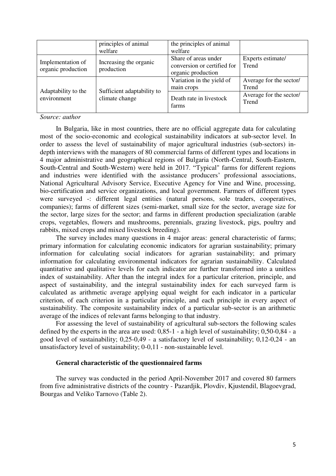|                                         | principles of animal<br>welfare              | the principles of animal<br>welfare                                       |                                  |
|-----------------------------------------|----------------------------------------------|---------------------------------------------------------------------------|----------------------------------|
| Implementation of<br>organic production | Increasing the organic<br>production         | Share of areas under<br>conversion or certified for<br>organic production | Experts estimate/<br>Trend       |
| Adaptability to the<br>environment      | Sufficient adaptability to<br>climate change | Variation in the yield of<br>main crops                                   | Average for the sector/<br>Trend |
|                                         |                                              | Death rate in livestock<br>farms                                          | Average for the sector/<br>Trend |

#### *Source: author*

In Bulgaria, like in most countries, there are no official aggregate data for calculating most of the socio-economic and ecological sustainability indicators at sub-sector level. In order to assess the level of sustainability of major agricultural industries (sub-sectors) indepth interviews with the managers of 80 commercial farms of different types and locations in 4 major administrative and geographical regions of Bulgaria (North-Central, South-Eastern, South-Central and South-Western) were held in 2017. "Typical" farms for different regions and industries were identified with the assistance producers' professional associations, National Agricultural Advisory Service, Executive Agency for Vine and Wine, processing, bio-certification and service organizations, and local government. Farmers of different types were surveyed -: different legal entities (natural persons, sole traders, cooperatives, companies); farms of different sizes (semi-market, small size for the sector, average size for the sector, large sizes for the sector; and farms in different production specialization (arable crops, vegetables, flowers and mushrooms, perennials, grazing livestock, pigs, poultry and rabbits, mixed crops and mixed livestock breeding).

The survey includes many questions in 4 major areas: general characteristic of farms; primary information for calculating economic indicators for agrarian sustainability; primary information for calculating social indicators for agrarian sustainability; and primary information for calculating environmental indicators for agrarian sustainability. Calculated quantitative and qualitative levels for each indicator are further transformed into a unitless index of sustainability. After than the integral index for a particular criterion, principle, and aspect of sustainability, and the integral sustainability index for each surveyed farm is calculated as arithmetic average applying equal weight for each indicator in a particular criterion, of each criterion in a particular principle, and each principle in every aspect of sustainability. The composite sustainability index of a particular sub-sector is an arithmetic average of the indices of relevant farms belonging to that industry.

For assessing the level of sustainability of agricultural sub-sectors the following scales defined by the experts in the area are used: 0,85-1 - a high level of sustainability; 0,50-0,84 - a good level of sustainability; 0,25-0,49 - a satisfactory level of sustainability; 0,12-0,24 - an unsatisfactory level of sustainability; 0-0,11 - non-sustainable level.

#### **General characteristic of the questionnaired farms**

The survey was conducted in the period April-November 2017 and covered 80 farmers from five administrative districts of the country - Pazardjik, Plovdiv, Kjustendil, Blagoevgrad, Bourgas and Veliko Tarnovo (Table 2).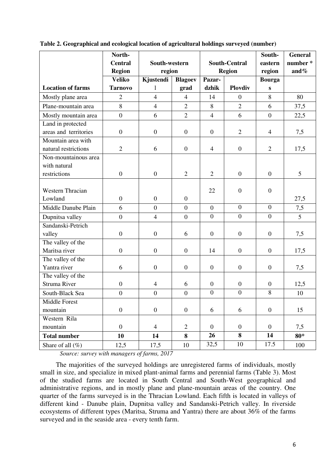|                          | North-           |                             |                  |                      |                  | South-           | <b>General</b> |
|--------------------------|------------------|-----------------------------|------------------|----------------------|------------------|------------------|----------------|
|                          | <b>Central</b>   | South-western               |                  | <b>South-Central</b> |                  | eastern          | number*        |
|                          | <b>Region</b>    | region                      |                  | <b>Region</b>        |                  | region           | and $%$        |
|                          | <b>Veliko</b>    | Kjustendi<br><b>Blagoev</b> |                  | Pazar-               |                  | <b>Bourga</b>    |                |
| <b>Location of farms</b> | <b>Tarnovo</b>   | 1                           | grad             | dzhik                | <b>Ploydiv</b>   | S                |                |
| Mostly plane area        | $\overline{2}$   | $\overline{4}$              | $\overline{4}$   | 14                   | $\overline{0}$   | 8                | 80             |
| Plane-mountain area      | 8                | $\overline{4}$              | $\overline{2}$   | 8                    | $\overline{2}$   | 6                | 37,5           |
| Mostly mountain area     | $\overline{0}$   | 6                           | $\overline{2}$   | $\overline{4}$       | 6                | $\boldsymbol{0}$ | 22,5           |
| Land in protected        |                  |                             |                  |                      |                  |                  |                |
| areas and territories    | $\boldsymbol{0}$ | $\boldsymbol{0}$            | $\boldsymbol{0}$ | $\boldsymbol{0}$     | $\overline{2}$   | $\overline{4}$   | 7,5            |
| Mountain area with       |                  |                             |                  |                      |                  |                  |                |
| natural restrictions     | $\overline{2}$   | 6                           | $\overline{0}$   | $\overline{4}$       | $\boldsymbol{0}$ | $\overline{2}$   | 17,5           |
| Non-mountainous area     |                  |                             |                  |                      |                  |                  |                |
| with natural             |                  |                             |                  |                      |                  |                  |                |
| restrictions             | $\boldsymbol{0}$ | $\boldsymbol{0}$            | $\overline{2}$   | $\overline{2}$       | $\boldsymbol{0}$ | $\boldsymbol{0}$ | 5              |
|                          |                  |                             |                  |                      |                  |                  |                |
| <b>Western Thracian</b>  |                  |                             |                  | 22                   | $\boldsymbol{0}$ | $\boldsymbol{0}$ |                |
| Lowland                  | $\boldsymbol{0}$ | $\overline{0}$              | $\overline{0}$   |                      |                  |                  | 27,5           |
| Middle Danube Plain      | 6                | $\overline{0}$              | $\overline{0}$   | $\boldsymbol{0}$     | $\overline{0}$   | $\overline{0}$   | 7,5            |
| Dupnitsa valley          | $\overline{0}$   | $\overline{4}$              | $\overline{0}$   | $\boldsymbol{0}$     | $\boldsymbol{0}$ | $\boldsymbol{0}$ | 5              |
| Sandanski-Petrich        |                  |                             |                  |                      |                  |                  |                |
| valley                   | $\mathbf{0}$     | $\overline{0}$              | 6                | $\mathbf{0}$         | $\overline{0}$   | $\boldsymbol{0}$ | 7,5            |
| The valley of the        |                  |                             |                  |                      |                  |                  |                |
| Maritsa river            | $\boldsymbol{0}$ | $\boldsymbol{0}$            | $\boldsymbol{0}$ | 14                   | $\overline{0}$   | $\overline{0}$   | 17,5           |
| The valley of the        |                  |                             |                  |                      |                  |                  |                |
| Yantra river             | 6                | $\boldsymbol{0}$            | $\boldsymbol{0}$ | $\boldsymbol{0}$     | $\boldsymbol{0}$ | $\boldsymbol{0}$ | 7,5            |
| The valley of the        |                  |                             |                  |                      |                  |                  |                |
| Struma River             | $\mathbf{0}$     | $\overline{4}$              | 6                | $\boldsymbol{0}$     | $\boldsymbol{0}$ | $\mathbf{0}$     | 12,5           |
| South-Black Sea          | $\overline{0}$   | $\boldsymbol{0}$            | $\boldsymbol{0}$ | $\overline{0}$       | $\mathbf{0}$     | 8                | 10             |
| Middle Forest            |                  |                             |                  |                      |                  |                  |                |
| mountain                 | $\overline{0}$   | $\boldsymbol{0}$            | $\boldsymbol{0}$ | 6                    | 6                | $\boldsymbol{0}$ | 15             |
| Western Rila             |                  |                             |                  |                      |                  |                  |                |
| mountain                 | $\overline{0}$   | $\overline{4}$              | $\overline{2}$   | $\mathbf{0}$         | $\boldsymbol{0}$ | $\mathbf{0}$     | 7,5            |
| <b>Total number</b>      | 10               | 14                          | 8                | 26                   | 8                | 14               | $80*$          |
| Share of all $(\%)$      | 12,5             | 17,5                        | 10               | 32,5                 | 10               | 17.5             | 100            |

**Table 2. Geographical and ecological location of agricultural holdings surveyed (number)** 

*Source: survey with managers of farms, 2017* 

The majorities of the surveyed holdings are unregistered farms of individuals, mostly small in size, and specialize in mixed plant-animal farms and perennial farms (Table 3). Most of the studied farms are located in South Central and South-West geographical and administrative regions, and in mostly plane and plane-mountain areas of the country. One quarter of the farms surveyed is in the Thracian Lowland. Each fifth is located in valleys of different kind - Danube plain, Dupnitsa valley and Sandanski-Petrich valley. In riverside ecosystems of different types (Maritsa, Struma and Yantra) there are about 36% of the farms surveyed and in the seaside area - every tenth farm.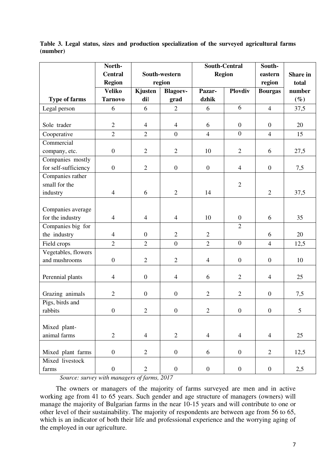|                            | North-           |                  |                  | <b>South-Central</b> |                  | South-           |          |
|----------------------------|------------------|------------------|------------------|----------------------|------------------|------------------|----------|
|                            | <b>Central</b>   | South-western    |                  | <b>Region</b>        |                  | eastern          | Share in |
|                            | <b>Region</b>    | region           |                  |                      |                  | region           | total    |
|                            | <b>Veliko</b>    | Kjusten          | <b>Blagoev-</b>  | Pazar-               | <b>Ploydiv</b>   | <b>Bourgas</b>   | number   |
| <b>Type of farms</b>       | <b>Tarnovo</b>   | dil              | grad             | dzhik                |                  |                  | $(\%)$   |
| Legal person               | 6                | 6                | $\overline{2}$   | 6                    | 6                | $\overline{4}$   | 37,5     |
|                            |                  |                  |                  |                      |                  |                  |          |
| Sole trader                | $\overline{2}$   | $\overline{4}$   | $\overline{4}$   | 6                    | $\boldsymbol{0}$ | $\mathbf{0}$     | 20       |
| Cooperative                | $\overline{2}$   | $\overline{2}$   | $\overline{0}$   | $\overline{4}$       | $\boldsymbol{0}$ | $\overline{4}$   | 15       |
| Commercial                 |                  |                  |                  |                      |                  |                  |          |
| company, etc.              | $\boldsymbol{0}$ | $\overline{2}$   | $\overline{2}$   | 10                   | $\overline{2}$   | 6                | 27,5     |
| Companies mostly           |                  |                  |                  |                      |                  |                  |          |
| for self-sufficiency       | $\boldsymbol{0}$ | $\overline{2}$   | $\boldsymbol{0}$ | $\overline{0}$       | $\overline{4}$   | $\boldsymbol{0}$ | 7,5      |
| Companies rather           |                  |                  |                  |                      |                  |                  |          |
| small for the              |                  |                  |                  |                      | $\overline{2}$   |                  |          |
| industry                   | $\overline{4}$   | 6                | $\overline{2}$   | 14                   |                  | $\overline{2}$   | 37,5     |
|                            |                  |                  |                  |                      |                  |                  |          |
| Companies average          |                  |                  |                  |                      |                  |                  |          |
| for the industry           | $\overline{4}$   | $\overline{4}$   | $\overline{4}$   | 10                   | $\boldsymbol{0}$ | 6                | 35       |
| Companies big for          |                  |                  |                  |                      | $\overline{2}$   |                  |          |
| the industry               | $\overline{4}$   | $\boldsymbol{0}$ | $\overline{2}$   | $\overline{2}$       |                  | 6                | 20       |
| Field crops                | $\overline{2}$   | $\overline{2}$   | $\overline{0}$   | $\overline{2}$       | $\mathbf{0}$     | $\overline{4}$   | 12,5     |
| Vegetables, flowers        |                  |                  |                  |                      |                  |                  |          |
| and mushrooms              | $\boldsymbol{0}$ | $\overline{2}$   | $\overline{2}$   | $\overline{4}$       | $\boldsymbol{0}$ | $\boldsymbol{0}$ | 10       |
|                            |                  |                  |                  |                      |                  |                  |          |
| Perennial plants           | $\overline{4}$   | $\boldsymbol{0}$ | $\overline{4}$   | 6                    | $\overline{2}$   | $\overline{4}$   | 25       |
|                            | $\overline{2}$   | $\boldsymbol{0}$ | $\overline{0}$   | $\overline{2}$       | $\overline{2}$   | $\boldsymbol{0}$ |          |
| Grazing animals            |                  |                  |                  |                      |                  |                  | 7,5      |
| Pigs, birds and<br>rabbits | $\boldsymbol{0}$ | $\overline{2}$   | $\boldsymbol{0}$ | $\sqrt{2}$           | $\boldsymbol{0}$ | $\boldsymbol{0}$ | 5        |
|                            |                  |                  |                  |                      |                  |                  |          |
| Mixed plant-               |                  |                  |                  |                      |                  |                  |          |
| animal farms               | $\overline{2}$   | $\overline{4}$   | $\overline{2}$   | $\overline{4}$       | $\overline{4}$   | $\overline{4}$   | 25       |
|                            |                  |                  |                  |                      |                  |                  |          |
| Mixed plant farms          | $\boldsymbol{0}$ | $\mathbf{2}$     | $\boldsymbol{0}$ | 6                    | $\boldsymbol{0}$ | $\overline{2}$   | 12,5     |
| Mixed livestock            |                  |                  |                  |                      |                  |                  |          |
| farms                      | $\boldsymbol{0}$ | $\overline{2}$   | $\boldsymbol{0}$ | $\boldsymbol{0}$     | $\boldsymbol{0}$ | $\boldsymbol{0}$ | 2,5      |
|                            |                  |                  |                  |                      |                  |                  |          |

**Table 3. Legal status, sizes and production specialization of the surveyed agricultural farms (number)** 

*Source: survey with managers of farms, 2017* 

The owners or managers of the majority of farms surveyed are men and in active working age from 41 to 65 years. Such gender and age structure of managers (owners) will manage the majority of Bulgarian farms in the near 10-15 years and will contribute to one or other level of their sustainability. The majority of respondents are between age from 56 to 65, which is an indicator of both their life and professional experience and the worrying aging of the employed in our agriculture.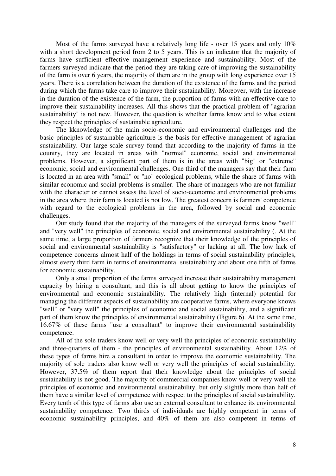Most of the farms surveyed have a relatively long life - over 15 years and only 10% with a short development period from 2 to 5 years. This is an indicator that the majority of farms have sufficient effective management experience and sustainability. Most of the farmers surveyed indicate that the period they are taking care of improving the sustainability of the farm is over 6 years, the majority of them are in the group with long experience over 15 years. There is a correlation between the duration of the existence of the farms and the period during which the farms take care to improve their sustainability. Moreover, with the increase in the duration of the existence of the farm, the proportion of farms with an effective care to improve their sustainability increases. All this shows that the practical problem of "agrarian sustainability" is not new. However, the question is whether farms know and to what extent they respect the principles of sustainable agriculture.

The kknowledge of the main socio-economic and environmental challenges and the basic principles of sustainable agriculture is the basis for effective management of agrarian sustainability. Our large-scale survey found that according to the majority of farms in the country, they are located in areas with "normal" economic, social and environmental problems. However, a significant part of them is in the areas with "big" or "extreme" economic, social and environmental challenges. One third of the managers say that their farm is located in an area with "small" or "no" ecological problems, while the share of farms with similar economic and social problems is smaller. The share of managers who are not familiar with the character or cannot assess the level of socio-economic and environmental problems in the area where their farm is located is not low. The greatest concern is farmers' competence with regard to the ecological problems in the area, followed by social and economic challenges.

Our study found that the majority of the managers of the surveyed farms know "well" and "very well" the principles of economic, social and environmental sustainability (. At the same time, a large proportion of farmers recognize that their knowledge of the principles of social and environmental sustainability is "satisfactory" or lacking at all. The low lack of competence concerns almost half of the holdings in terms of social sustainability principles, almost every third farm in terms of environmental sustainability and about one fifth of farms for economic sustainability.

Only a small proportion of the farms surveyed increase their sustainability management capacity by hiring a consultant, and this is all about getting to know the principles of environmental and economic sustainability. The relatively high (internal) potential for managing the different aspects of sustainability are cooperative farms, where everyone knows "well" or "very well" the principles of economic and social sustainability, and a significant part of them know the principles of environmental sustainability (Figure 6). At the same time, 16.67% of these farms "use a consultant" to improve their environmental sustainability competence.

All of the sole traders know well or very well the principles of economic sustainability and three-quarters of them - the principles of environmental sustainability. About 12% of these types of farms hire a consultant in order to improve the economic sustainability. The majority of sole traders also know well or very well the principles of social sustainability. However, 37.5% of them report that their knowledge about the principles of social sustainability is not good. The majority of commercial companies know well or very well the principles of economic and environmental sustainability, but only slightly more than half of them have a similar level of competence with respect to the principles of social sustainability. Every tenth of this type of farms also use an external consultant to enhance its environmental sustainability competence. Two thirds of individuals are highly competent in terms of economic sustainability principles, and 40% of them are also competent in terms of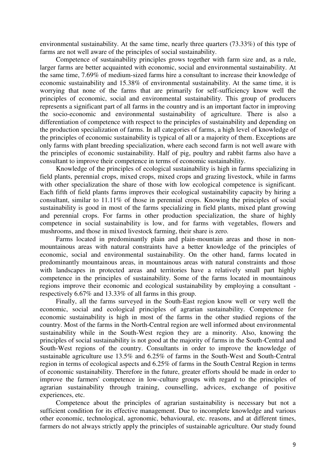environmental sustainability. At the same time, nearly three quarters (73.33%) of this type of farms are not well aware of the principles of social sustainability.

Competence of sustainability principles grows together with farm size and, as a rule, larger farms are better acquainted with economic, social and environmental sustainability. At the same time, 7.69% of medium-sized farms hire a consultant to increase their knowledge of economic sustainability and 15.38% of environmental sustainability. At the same time, it is worrying that none of the farms that are primarily for self-sufficiency know well the principles of economic, social and environmental sustainability. This group of producers represents a significant part of all farms in the country and is an important factor in improving the socio-economic and environmental sustainability of agriculture. There is also a differentiation of competence with respect to the principles of sustainability and depending on the production specialization of farms. In all categories of farms, a high level of knowledge of the principles of economic sustainability is typical of all or a majority of them. Exceptions are only farms with plant breeding specialization, where each second farm is not well aware with the principles of economic sustainability. Half of pig, poultry and rabbit farms also have a consultant to improve their competence in terms of economic sustainability.

Knowledge of the principles of ecological sustainability is high in farms specializing in field plants, perennial crops, mixed crops, mixed crops and grazing livestock, while in farms with other specialization the share of those with low ecological competence is significant. Each fifth of field plants farms improves their ecological sustainability capacity by hiring a consultant, similar to 11.11% of those in perennial crops. Knowing the principles of social sustainability is good in most of the farms specializing in field plants, mixed plant growing and perennial crops. For farms in other production specialization, the share of highly competence in social sustainability is low, and for farms with vegetables, flowers and mushrooms, and those in mixed livestock farming, their share is zero.

Farms located in predominantly plain and plain-mountain areas and those in nonmountainous areas with natural constraints have a better knowledge of the principles of economic, social and environmental sustainability. On the other hand, farms located in predominantly mountainous areas, in mountainous areas with natural constraints and those with landscapes in protected areas and territories have a relatively small part highly competence in the principles of sustainability. Some of the farms located in mountainous regions improve their economic and ecological sustainability by employing a consultant respectively 6.67% and 13.33% of all farms in this group.

Finally, all the farms surveyed in the South-East region know well or very well the economic, social and ecological principles of agrarian sustainability. Competence for economic sustainability is high in most of the farms in the other studied regions of the country. Most of the farms in the North-Central region are well informed about environmental sustainability while in the South-West region they are a minority. Also, knowing the principles of social sustainability is not good at the majority of farms in the South-Central and South-West regions of the country. Consultants in order to improve the knowledge of sustainable agriculture use 13.5% and 6.25% of farms in the South-West and South-Central region in terms of ecological aspects and 6.25% of farms in the South Central Region in terms of economic sustainability. Therefore in the future, greater efforts should be made in order to improve the farmers' competence in low-culture groups with regard to the principles of agrarian sustainability through training, counselling, advices, exchange of positive experiences, etc.

Competence about the principles of agrarian sustainability is necessary but not a sufficient condition for its effective management. Due to incomplete knowledge and various other economic, technological, agronomic, behavioural, etc. reasons, and at different times, farmers do not always strictly apply the principles of sustainable agriculture. Our study found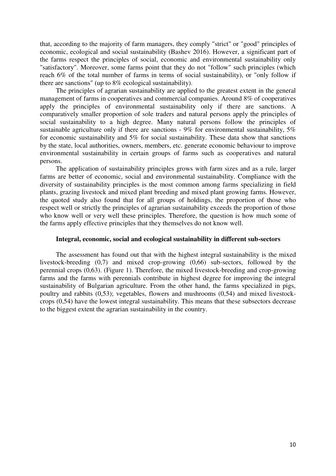that, according to the majority of farm managers, they comply "strict" or "good" principles of economic, ecological and social sustainability (Bashev 2016). However, a significant part of the farms respect the principles of social, economic and environmental sustainability only "satisfactory". Moreover, some farms point that they do not "follow" such principles (which reach 6% of the total number of farms in terms of social sustainability), or "only follow if there are sanctions" (up to 8% ecological sustainability).

The principles of agrarian sustainability are applied to the greatest extent in the general management of farms in cooperatives and commercial companies. Around 8% of cooperatives apply the principles of environmental sustainability only if there are sanctions. A comparatively smaller proportion of sole traders and natural persons apply the principles of social sustainability to a high degree. Many natural persons follow the principles of sustainable agriculture only if there are sanctions - 9% for environmental sustainability, 5% for economic sustainability and 5% for social sustainability. These data show that sanctions by the state, local authorities, owners, members, etc. generate economic behaviour to improve environmental sustainability in certain groups of farms such as cooperatives and natural persons.

The application of sustainability principles grows with farm sizes and as a rule, larger farms are better of economic, social and environmental sustainability. Compliance with the diversity of sustainability principles is the most common among farms specializing in field plants, grazing livestock and mixed plant breeding and mixed plant growing farms. However, the quoted study also found that for all groups of holdings, the proportion of those who respect well or strictly the principles of agrarian sustainability exceeds the proportion of those who know well or very well these principles. Therefore, the question is how much some of the farms apply effective principles that they themselves do not know well.

#### **Integral, economic, social and ecological sustainability in different sub-sectors**

The assessment has found out that with the highest integral sustainability is the mixed livestock-breeding (0,7) and mixed crop-growing (0,66) sub-sectors, followed by the perennial crops (0,63). (Figure 1). Therefore, the mixed livestock-breeding and crop-growing farms and the farms with perennials contribute in highest degree for improving the integral sustainability of Bulgarian agriculture. From the other hand, the farms specialized in pigs, poultry and rabbits (0,53); vegetables, flowers and mushrooms (0,54) and mixed livestockcrops (0,54) have the lowest integral sustainability. This means that these subsectors decrease to the biggest extent the agrarian sustainability in the country.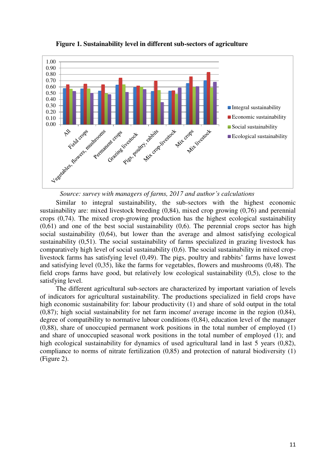

**Figure 1. Sustainability level in different sub-sectors of agriculture** 



Similar to integral sustainability, the sub-sectors with the highest economic sustainability are: mixed livestock breeding (0,84), mixed crop growing (0,76) and perennial crops (0,74). The mixed crop-growing production has the highest ecological sustainability  $(0.61)$  and one of the best social sustainability  $(0.6)$ . The perennial crops sector has high social sustainability (0,64), but lower than the average and almost satisfying ecological sustainability (0,51). The social sustainability of farms specialized in grazing livestock has comparatively high level of social sustainability (0,6). The social sustainability in mixed croplivestock farms has satisfying level (0,49). The pigs, poultry and rabbits' farms have lowest and satisfying level (0,35), like the farms for vegetables, flowers and mushrooms (0,48). The field crops farms have good, but relatively low ecological sustainability (0,5), close to the satisfying level.

The different agricultural sub-sectors are characterized by important variation of levels of indicators for agricultural sustainability. The productions specialized in field crops have high economic sustainability for: labour productivity (1) and share of sold output in the total (0,87); high social sustainability for net farm income/ average income in the region (0,84), degree of compatibility to normative labour conditions (0,84), education level of the manager (0,88), share of unoccupied permanent work positions in the total number of employed (1) and share of unoccupied seasonal work positions in the total number of employed (1); and high ecological sustainability for dynamics of used agricultural land in last 5 years (0,82), compliance to norms of nitrate fertilization (0,85) and protection of natural biodiversity (1) (Figure 2).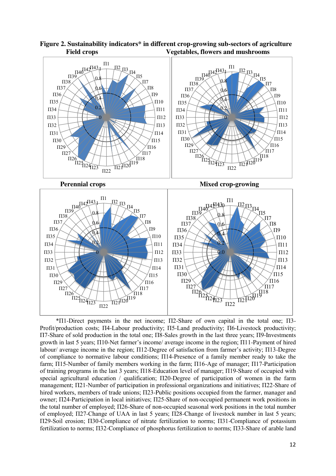

**Figure 2. Sustainability indicators\* in different crop-growing sub-sectors of agriculture Field crops Vegetables, flowers and mushrooms**

\*П1-Direct payments in the net income; П2-Share of own capital in the total one; П3- Profit/production costs; П4-Labour productivity; П5-Land productivity; П6-Livestock productivity; П7-Share of sold production in the total one; П8-Sales growth in the last three years; П9-Investments growth in last 5 years; П10-Net farmer's income/ average income in the region; П11-Payment of hired labour/ average income in the region; П12-Degree of satisfaction from farmer's activity; П13-Degree of compliance to normative labour conditions; П14-Presence of a family member ready to take the farm; П15-Number of family members working in the farm; П16-Age of manager; П17-Participation of training programs in the last 3 years; П18-Education level of manager; П19-Share of occupied with special agricultural education / qualification;  $\Pi$ 20-Degree of participation of women in the farm management; П21-Number of participation in professional organizations and initiatives; П22-Share of hired workers, members of trade unions; Π23-Public positions occupied from the farmer, manager and owner; П24-Participation in local initiatives; П25-Share of non-occupied permanent work positions in the total number of employed; П26-Share of non-occupied seasonal work positions in the total number of employed; П27-Change of UAA in last 5 years; П28-Change of livestock number in last 5 years; П29-Soil erosion; П30-Compliance of nitrate fertilization to norms; П31-Compliance of potassium fertilization to norms; П32-Compliance of phosphorus fertilization to norms; П33-Share of arable land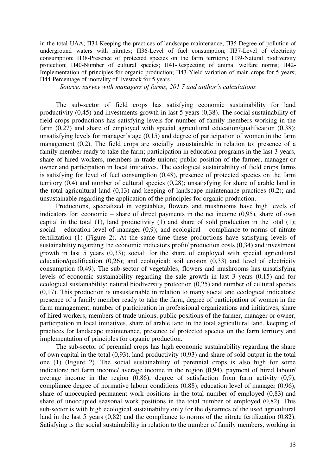in the total UAA; П34-Keeping the practices of landscape maintenance; П35-Degree of pollution of underground waters with nitrates; П36-Level of fuel consumption; П37-Level of electricity consumption; П38-Presence of protected species on the farm territory; П39-Natural biodiversity protection; П40-Number of cultural species; П41-Respecting of animal welfare norms; П42- Implementation of principles for organic production; П43-Yield variation of main crops for 5 years; П44-Percentage of mortality of livestock for 5 years.

*Source: survey with managers of farms, 201 7 and author's calculations*

The sub-sector of field crops has satisfying economic sustainability for land productivity (0,45) and investments growth in last 5 years (0,38). The social sustainability of field crops productions has satisfying levels for number of family members working in the farm  $(0.27)$  and share of employed with special agricultural education/qualification  $(0.38)$ ; unsatisfying levels for manager's age (0,15) and degree of participation of women in the farm management (0,2). The field crops are socially unsustainable in relation to: presence of a family member ready to take the farm; participation in education programs in the last 3 years, share of hired workers, members in trade unions; public position of the farmer, manager or owner and participation in local initiatives. The ecological sustainability of field crops farms is satisfying for level of fuel consumption (0,48), presence of protected species on the farm territory (0,4) and number of cultural species (0,28); unsatisfying for share of arable land in the total agricultural land (0,13) and keeping of landscape maintenance practices (0,2); and unsustainable regarding the application of the principles for organic production.

Productions, specialized in vegetables, flowers and mushrooms have high levels of indicators for: economic – share of direct payments in the net income (0,95), share of own capital in the total  $(1)$ , land productivity  $(1)$  and share of sold production in the total  $(1)$ ; social – education level of manager  $(0,9)$ ; and ecological – compliance to norms of nitrate fertilization (1) (Figure 2). At the same time these productions have satisfying levels of sustainability regarding the economic indicators profit/ production costs (0,34) and investment growth in last 5 years (0,33); social: for the share of employed with special agricultural education/qualification (0,26); and ecological: soil erosion (0,33) and level of electricity consumption (0,49). The sub-sector of vegetables, flowers and mushrooms has unsatisfying levels of economic sustainability regarding the sale growth in last 3 years (0,15) and for ecological sustainability: natural biodiversity protection (0,25) and number of cultural species (0,17). This production is unsustainable in relation to many social and ecological indicators: presence of a family member ready to take the farm, degree of participation of women in the farm management, number of participation in professional organizations and initiatives, share of hired workers, members of trade unions, public positions of the farmer, manager or owner, participation in local initiatives, share of arable land in the total agricultural land, keeping of practices for landscape maintenance, presence of protected species on the farm territory and implementation of principles for organic production.

The sub-sector of perennial crops has high economic sustainability regarding the share of own capital in the total (0,93), land productivity (0,93) and share of sold output in the total one (1) (Figure 2). The social sustainability of perennial crops is also high for some indicators: net farm income/ average income in the region (0,94), payment of hired labour/ average income in the region (0,86), degree of satisfaction from farm activity (0,9), compliance degree of normative labour conditions (0,88), education level of manager (0,96), share of unoccupied permanent work positions in the total number of employed (0,83) and share of unoccupied seasonal work positions in the total number of employed (0,82). This sub-sector is with high ecological sustainability only for the dynamics of the used agricultural land in the last 5 years (0,82) and the compliance to norms of the nitrate fertilization (0,82). Satisfying is the social sustainability in relation to the number of family members, working in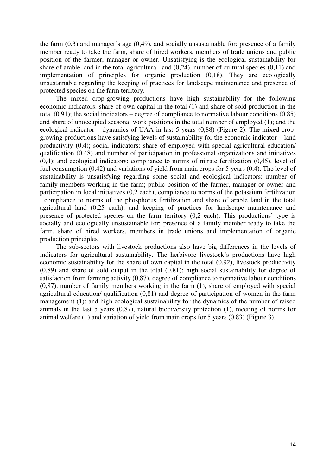the farm  $(0,3)$  and manager's age  $(0,49)$ , and socially unsustainable for: presence of a family member ready to take the farm, share of hired workers, members of trade unions and public position of the farmer, manager or owner. Unsatisfying is the ecological sustainability for share of arable land in the total agricultural land  $(0,24)$ , number of cultural species  $(0,11)$  and implementation of principles for organic production (0,18). They are ecologically unsustainable regarding the keeping of practices for landscape maintenance and presence of protected species on the farm territory.

The mixed crop-growing productions have high sustainability for the following economic indicators: share of own capital in the total (1) and share of sold production in the total  $(0,91)$ ; the social indicators – degree of compliance to normative labour conditions  $(0,85)$ and share of unoccupied seasonal work positions in the total number of employed (1); and the ecological indicator – dynamics of UAA in last 5 years (0,88) (Figure 2). The mixed cropgrowing productions have satisfying levels of sustainability for the economic indicator – land productivity (0,4); social indicators: share of employed with special agricultural education/ qualification (0,48) and number of participation in professional organizations and initiatives (0,4); and ecological indicators: compliance to norms of nitrate fertilization (0,45), level of fuel consumption (0,42) and variations of yield from main crops for 5 years (0,4). The level of sustainability is unsatisfying regarding some social and ecological indicators: number of family members working in the farm; public position of the farmer, manager or owner and participation in local initiatives (0,2 each); compliance to norms of the potassium fertilization , compliance to norms of the phosphorus fertilization and share of arable land in the total agricultural land (0,25 each), and keeping of practices for landscape maintenance and presence of protected species on the farm territory (0,2 each). This productions' type is socially and ecologically unsustainable for: presence of a family member ready to take the farm, share of hired workers, members in trade unions and implementation of organic production principles.

The sub-sectors with livestock productions also have big differences in the levels of indicators for agricultural sustainability. The herbivore livestock's productions have high economic sustainability for the share of own capital in the total (0,92), livestock productivity (0,89) and share of sold output in the total (0,81); high social sustainability for degree of satisfaction from farming activity (0,87), degree of compliance to normative labour conditions (0,87), number of family members working in the farm (1), share of employed with special agricultural education/ qualification (0,81) and degree of participation of women in the farm management (1); and high ecological sustainability for the dynamics of the number of raised animals in the last 5 years (0,87), natural biodiversity protection (1), meeting of norms for animal welfare (1) and variation of yield from main crops for 5 years (0,83) (Figure 3).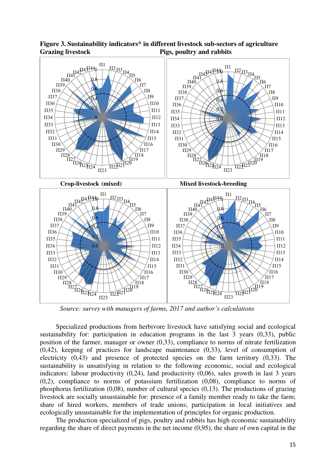

**Figure 3. Sustainability indicators\* in different livestock sub-sectors of agriculture Grazing livestock Pigs, poultry and rabbits**

*Source: survey with managers of farms, 2017 and author's calculations*

Specialized productions from herbivore livestock have satisfying social and ecological sustainability for: participation in education programs in the last 3 years (0,33), public position of the farmer, manager or owner (0,33), compliance to norms of nitrate fertilization (0,42), keeping of practices for landscape maintenance (0,33), level of consumption of electricity (0,43) and presence of protected species on the farm territory (0,33). The sustainability is unsatisfying in relation to the following economic, social and ecological indicators: labour productivity (0,24), land productivity (0,06), sales growth in last 3 years (0,2), compliance to norms of potassium fertilization (0,08), compliance to norms of phosphorus fertilization (0,08), number of cultural species (0,13). The productions of grazing livestock are socially unsustainable for: presence of a family member ready to take the farm; share of hired workers, members of trade unions; participation in local initiatives and ecologically unsustainable for the implementation of principles for organic production.

The production specialized of pigs, poultry and rabbits has high economic sustainability regarding the share of direct payments in the net income (0,95), the share of own capital in the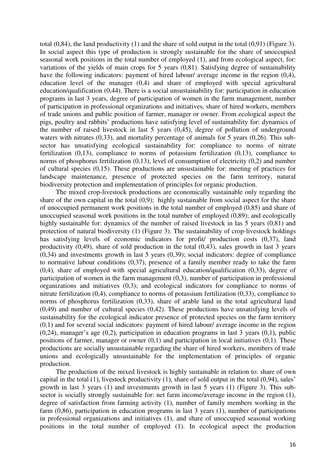total (0,84), the land productivity (1) and the share of sold output in the total (0,91) (Figure 3). In social aspect this type of production is strongly sustainable for the share of unoccupied seasonal work positions in the total number of employed (1), and from ecological aspect, for: variations of the yields of main crops for 5 years (0,81). Satisfying degree of sustainability have the following indicators: payment of hired labour/ average income in the region  $(0,4)$ , education level of the manager (0,4) and share of employed with special agricultural education/qualification (0,44). There is a social unsustainability for: participation in education programs in last 3 years, degree of participation of women in the farm management, number of participation in professional organizations and initiatives, share of hired workers, members of trade unions and public position of farmer, manager or owner. From ecological aspect the pigs, poultry and rabbits' productions have satisfying level of sustainability for: dynamics of the number of raised livestock in last 5 years (0,45), degree of pollution of underground waters with nitrates (0,33), and mortality percentage of animals for 5 years (0,26). This subsector has unsatisfying ecological sustainability for: compliance to norms of nitrate fertilization (0,13), compliance to norms of potassium fertilization (0,13), compliance to norms of phosphorus fertilization (0,13), level of consumption of electricity (0,2) and number of cultural species (0,15). These productions are unsustainable for: meeting of practices for landscape maintenance, presence of protected species on the farm territory, natural biodiversity protection and implementation of principles for organic production.

The mixed crop-livestock productions are economically sustainable only regarding the share of the own capital in the total (0,9); highly sustainable from social aspect for the share of unoccupied permanent work positions in the total number of employed (0,85) and share of unoccupied seasonal work positions in the total number of employed (0,89); and ecologically highly sustainable for: dynamics of the number of raised livestock in las 5 years (0.81) and protection of natural biodiversity (1) (Figure 3). The sustainability of crop-livestock holdings has satisfying levels of economic indicators for profit/ production costs  $(0,37)$ , land productivity (0,49), share of sold production in the total (0,43), sales growth in last 3 years  $(0,34)$  and investments growth in last 5 years  $(0,39)$ ; social indicators: degree of compliance to normative labour conditions (0,37), presence of a family member ready to take the farm (0,4), share of employed with special agricultural education/qualification (0,33), degree of participation of women in the farm management (0,3), number of participation in professional organizations and initiatives (0,3); and ecological indicators for compliance to norms of nitrate fertilization (0,4), compliance to norms of potassium fertilization (0,33), compliance to norms of phosphorus fertilization (0,33), share of arable land in the total agricultural land (0,49) and number of cultural species (0,42). These productions have unsatisfying levels of sustainability for the ecological indicator presence of protected species on the farm territory (0,1) and for several social indicators: payment of hired labour/ average income in the region  $(0.24)$ , manager's age  $(0.2)$ , participation in education programs in last 3 years  $(0.1)$ , public positions of farmer, manager or owner  $(0,1)$  and participation in local initiatives  $(0,1)$ . These productions are socially unsustainable regarding the share of hired workers, members of trade unions and ecologically unsustainable for the implementation of principles of organic production.

The production of the mixed livestock is highly sustainable in relation to: share of own capital in the total (1), livestock productivity (1), share of sold output in the total (0,94), sales' growth in last 3 years (1) and investments growth in last 5 years (1) (Figure 3). This subsector is socially strongly sustainable for: net farm income/average income in the region (1), degree of satisfaction from farming activity (1), number of family members working in the farm (0,86), participation in education programs in last 3 years (1), number of participations in professional organizations and initiatives (1), and share of unoccupied seasonal working positions in the total number of employed (1). In ecological aspect the production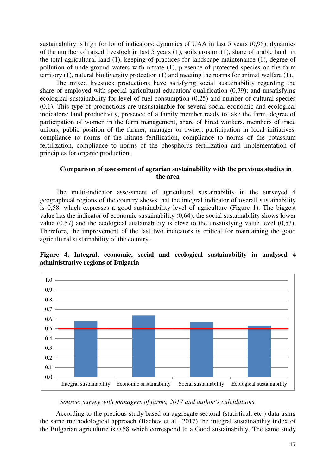sustainability is high for lot of indicators: dynamics of UAA in last 5 years (0,95), dynamics of the number of raised livestock in last 5 years (1), soils erosion (1), share of arable land in the total agricultural land (1), keeping of practices for landscape maintenance (1), degree of pollution of underground waters with nitrate (1), presence of protected species on the farm territory (1), natural biodiversity protection (1) and meeting the norms for animal welfare (1).

The mixed livestock productions have satisfying social sustainability regarding the share of employed with special agricultural education/ qualification (0,39); and unsatisfying ecological sustainability for level of fuel consumption (0,25) and number of cultural species (0,1). This type of productions are unsustainable for several social-economic and ecological indicators: land productivity, presence of a family member ready to take the farm, degree of participation of women in the farm management, share of hired workers, members of trade unions, public position of the farmer, manager or owner, participation in local initiatives, compliance to norms of the nitrate fertilization, compliance to norms of the potassium fertilization, compliance to norms of the phosphorus fertilization and implementation of principles for organic production.

#### **Comparison of assessment of agrarian sustainability with the previous studies in the area**

The multi-indicator assessment of agricultural sustainability in the surveyed 4 geographical regions of the country shows that the integral indicator of overall sustainability is 0,58, which expresses a good sustainability level of agriculture (Figure 1). The biggest value has the indicator of economic sustainability (0,64), the social sustainability shows lower value (0,57) and the ecological sustainability is close to the unsatisfying value level (0,53). Therefore, the improvement of the last two indicators is critical for maintaining the good agricultural sustainability of the country.

### **Figure 4. Integral, economic, social and ecological sustainability in analysed 4 administrative regions of Bulgaria**



#### *Source: survey with managers of farms, 2017 and author's calculations*

According to the precious study based on aggregate sectoral (statistical, etc.) data using the same methodological approach (Bachev et al., 2017) the integral sustainability index of the Bulgarian agriculture is 0.58 which correspond to a Good sustainability. The same study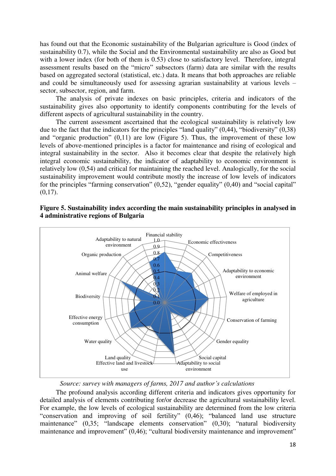has found out that the Economic sustainability of the Bulgarian agriculture is Good (index of sustainability 0.7), while the Social and the Environmental sustainability are also as Good but with a lower index (for both of them is 0.53) close to satisfactory level. Therefore, integral assessment results based on the "micro" subsectors (farm) data are similar with the results based on aggregated sectoral (statistical, etc.) data. It means that both approaches are reliable and could be simultaneously used for assessing agrarian sustainability at various levels – sector, subsector, region, and farm.

The analysis of private indexes on basic principles, criteria and indicators of the sustainability gives also opportunity to identify components contributing for the levels of different aspects of agricultural sustainability in the country.

The current assessment ascertained that the ecological sustainability is relatively low due to the fact that the indicators for the principles "land quality" (0,44), "biodiversity" (0,38) and "organic production" (0,11) are low (Figure 5). Thus, the improvement of these low levels of above-mentioned principles is a factor for maintenance and rising of ecological and integral sustainability in the sector. Also it becomes clear that despite the relatively high integral economic sustainability, the indicator of adaptability to economic environment is relatively low (0,54) and critical for maintaining the reached level. Analogically, for the social sustainability improvement would contribute mostly the increase of low levels of indicators for the principles "farming conservation" (0,52), "gender equality" (0,40) and "social capital"  $(0,17)$ .



#### **Figure 5. Sustainability index according the main sustainability principles in analysed in 4 administrative regions of Bulgaria**

*Source: survey with managers of farms, 2017 and author's calculations*

The profound analysis according different criteria and indicators gives opportunity for detailed analysis of elements contributing for/or decrease the agricultural sustainability level. For example, the low levels of ecological sustainability are determined from the low criteria "conservation and improving of soil fertility" (0,46); "balanced land use structure maintenance" (0,35; "landscape elements conservation" (0,30); "natural biodiversity maintenance and improvement" (0,46); "cultural biodiversity maintenance and improvement"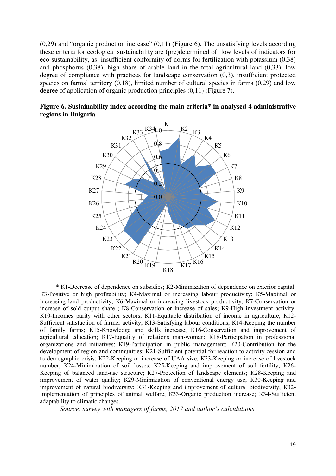$(0,29)$  and "organic production increase"  $(0,11)$  (Figure 6). The unsatisfying levels according these criteria for ecological sustainability are (pre)determined of low levels of indicators for eco-sustainability, as: insufficient conformity of norms for fertilization with potassium (0,38) and phosphorus (0,38), high share of arable land in the total agricultural land (0,33), low degree of compliance with practices for landscape conservation (0,3), insufficient protected species on farms' territory (0,18), limited number of cultural species in farms (0,29) and low degree of application of organic production principles (0,11) (Figure 7).



**Figure 6. Sustainability index according the main criteria\* in analysed 4 administrative regions in Bulgaria**

\* К1-Decrease of dependence on subsidies; К2-Minimization of dependence on exterior capital; К3-Positive or high profitability; К4-Maximal or increasing labour productivity; К5-Maximal or increasing land productivity; К6-Maximal or increasing livestock productivity; К7-Conservation or increase of sold output share ; К8-Conservation or increase of sales; К9-High investment activity; К10-Incomes parity with other sectors; К11-Equitable distribution of income in agriculture; К12- Sufficient satisfaction of farmer activity; К13-Satisfying labour conditions; К14-Keeping the number of family farms; К15-Knowledge and skills increase; К16-Conservation and improvement of agricultural education; К17-Equality of relations man-woman; К18-Participation in professional organizations and initiatives; К19-Participation in public management; К20-Contribution for the development of region and communities; К21-Sufficient potential for reaction to activity cession and to demographic crisis; К22-Keeping or increase of UAA size; К23-Keeping or increase of livestock number; К24-Minimization of soil losses; К25-Keeping and improvement of soil fertility; К26- Keeping of balanced land-use structure; К27-Protection of landscape elements; К28-Keeping and improvement of water quality; К29-Minimization of conventional energy use; К30-Keeping and improvement of natural biodiversity; К31-Keeping and improvement of cultural biodiversity; К32- Implementation of principles of animal welfare; К33-Organic production increase; К34-Sufficient adaptability to climatic changes.

*Source: survey with managers of farms, 2017 and author's calculations*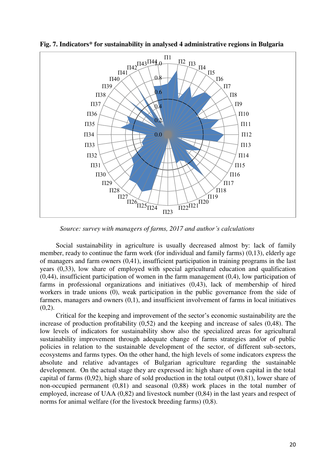

**Fig. 7. Indicators\* for sustainability in analysed 4 administrative regions in Bulgaria** 

*Source: survey with managers of farms, 2017 and author's calculations*

Social sustainability in agriculture is usually decreased almost by: lack of family member, ready to continue the farm work (for individual and family farms) (0,13), elderly age of managers and farm owners (0,41), insufficient participation in training programs in the last years (0,33), low share of employed with special agricultural education and qualification  $(0,44)$ , insufficient participation of women in the farm management  $(0,4)$ , low participation of farms in professional organizations and initiatives (0,43), lack of membership of hired workers in trade unions (0), weak participation in the public governance from the side of farmers, managers and owners (0,1), and insufficient involvement of farms in local initiatives  $(0.2)$ .

Critical for the keeping and improvement of the sector's economic sustainability are the increase of production profitability (0,52) and the keeping and increase of sales (0,48). The low levels of indicators for sustainability show also the specialized areas for agricultural sustainability improvement through adequate change of farms strategies and/or of public policies in relation to the sustainable development of the sector, of different sub-sectors, ecosystems and farms types. On the other hand, the high levels of some indicators express the absolute and relative advantages of Bulgarian agriculture regarding the sustainable development. On the actual stage they are expressed in: high share of own capital in the total capital of farms (0,92), high share of sold production in the total output (0,81), lower share of non-occupied permanent (0,81) and seasonal (0,88) work places in the total number of employed, increase of UAA (0,82) and livestock number (0,84) in the last years and respect of norms for animal welfare (for the livestock breeding farms) (0,8).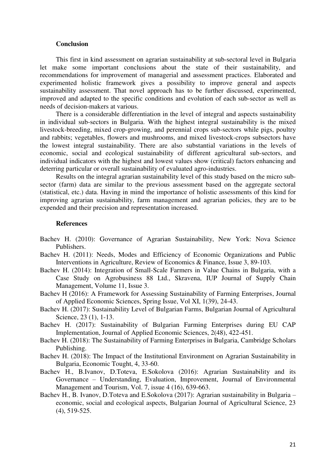#### **Conclusion**

This first in kind assessment on agrarian sustainability at sub-sectoral level in Bulgaria let make some important conclusions about the state of their sustainability, and recommendations for improvement of managerial and assessment practices. Elaborated and experimented holistic framework gives a possibility to improve general and aspects sustainability assessment. That novel approach has to be further discussed, experimented, improved and adapted to the specific conditions and evolution of each sub-sector as well as needs of decision-makers at various.

There is a considerable differentiation in the level of integral and aspects sustainability in individual sub-sectors in Bulgaria. With the highest integral sustainability is the mixed livestock-breeding, mixed crop-growing, and perennial crops sub-sectors while pigs, poultry and rabbits; vegetables, flowers and mushrooms, and mixed livestock-crops subsectors have the lowest integral sustainability. There are also substantial variations in the levels of economic, social and ecological sustainability of different agricultural sub-sectors, and individual indicators with the highest and lowest values show (critical) factors enhancing and deterring particular or overall sustainability of evaluated agro-industries.

Results on the integral agrarian sustainability level of this study based on the micro subsector (farm) data are similar to the previous assessment based on the aggregate sectoral (statistical, etc.) data. Having in mind the importance of holistic assessments of this kind for improving agrarian sustainability, farm management and agrarian policies, they are to be expended and their precision and representation increased.

#### **References**

- Bachev H. (2010): Governance of Agrarian Sustainability, New York: Nova Science Publishers.
- Bachev H. (2011): Needs, Modes and Efficiency of Economic Organizations and Public Interventions in Agriculture, Review of Economics & Finance, Issue 3, 89-103.
- Bachev H. (2014): Integration of Small-Scale Farmers in Value Chains in Bulgaria, with a Case Study on Agrobusiness 88 Ltd., Skravena, IUP Journal of Supply Chain Management, Volume 11, Issue 3.
- Bachev H (2016): A Framework for Assessing Sustainability of Farming Enterprises, Journal of Applied Economic Sciences, Spring Issue, Vol XI, 1(39), 24-43.
- Bachev H. (2017): Sustainability Level of Bulgarian Farms, Bulgarian Journal of Agricultural Science, 23 (1), 1-13.
- Bachev H. (2017): Sustainability of Bulgarian Farming Enterprises during EU CAP Implementation, Journal of Applied Economic Sciences, 2(48), 422-451.
- Bachev H. (2018): The Sustainability of Farming Enterprises in Bulgaria, Cambridge Scholars Publishing.
- Bachev H. (2018): The Impact of the Institutional Environment on Agrarian Sustainability in Bulgaria, Economic Tought, 4, 33-60.
- Bachev H., B.Ivanov, D.Toteva, E.Sokolova (2016): Agrarian Sustainability and its Governance – Understanding, Evaluation, Improvement, Journal of Environmental Management and Tourism, Vol. 7, issue 4 (16), 639-663.
- Bachev H., B. Ivanov, D.Toteva and E.Sokolova (2017): Agrarian sustainability in Bulgaria economic, social and ecological aspects, Bulgarian Journal of Agricultural Science, 23 (4), 519-525.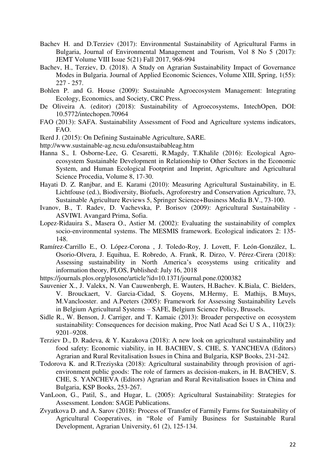- Bachev H. and D.Terziev (2017): Environmental Sustainability of Agricultural Farms in Bulgaria, Journal of Environmental Management and Tourism, Vol 8 No 5 (2017): JEMT Volume VIII Issue 5(21) Fall 2017, 968-994
- Bachev, H., Terziev, D. (2018). A Study on Agrarian Sustainability Impact of Governance Modes in Bulgaria. Journal of Applied Economic Sciences, Volume XIII, Spring, 1(55): 227 - 257.
- Bohlen P. and G. House (2009): Sustainable Agroecosystem Management: Integrating Ecology, Economics, and Society, CRC Press.
- De Oliveira A. (editor) (2018): Sustainability of Agroecosystems, IntechOpen, DOI: 10.5772/intechopen.70964
- FAO (2013): SAFA. Sustainability Assessment of Food and Agriculture systems indicators, FAO.
- Ikerd J. (2015): On Defining Sustainable Agriculture, SARE.
- http://www.sustainable-ag.ncsu.edu/onsustaibableag.htm
- Hanna S., I. Osborne-Lee, G. Cesaretti, R.Magdy, T.Khalile (2016): Ecological Agroecosystem Sustainable Development in Relationship to Other Sectors in the Economic System, and Human Ecological Footprint and Imprint, Agriculture and Agricultural Science Procedia, Volume 8, 17-30.
- Hayati D. Z. Ranjbar, and E. Karami (2010): Measuring Agricultural Sustainability, in E. Lichtfouse (ed.), Biodiversity, Biofuels, Agroforestry and Conservation Agriculture, 73, Sustainable Agriculture Reviews 5, Springer Science+Business Media B.V., 73-100.
- Ivanov, B., T. Radev, D. Vachevska, P. Borisov (2009): Agricultural Sustainability ASVIWI. Avangard Prima, Sofia.
- Lopez-Ridauira S., Masera O., Astier M. (2002): Evaluating the sustainability of complex socio-environmental systems. The MESMIS framework. Ecological indicators 2: 135- 148.
- Ramírez-Carrillo E., O. López-Corona , J. Toledo-Roy, J. Lovett, F. León-González, L. Osorio-Olvera, J. Equihua, E. Robredo, A. Frank, R. Dirzo, V. Pérez-Cirera (2018): Assessing sustainability in North America's ecosystems using criticality and information theory, PLOS, Published: July 16, 2018
- https://journals.plos.org/plosone/article?id=10.1371/journal.pone.0200382
- Sauvenier X., J. Valekx, N. Van Cauwenbergh, E. Wauters, H.Bachev. K.Biala, C. Bielders, V. Brouckaert, V. Garcia-Cidad, S. Goyens, M.Hermy, E. Mathijs, B.Muys, M.Vanclooster. and A.Peeters (2005): Framework for Assessing Sustainability Levels in Belgium Agricultural Systems – SAFE, Belgium Science Policy, Brussels.
- Sidle R., W. Benson, J. Carriger, and T. Kamaic (2013): Broader perspective on ecosystem sustainability: Consequences for decision making, Proc Natl Acad Sci U S A., 110(23): 9201–9208.
- Terziev D., D. Radeva, & Y. Kazakova (2018): A new look on agricultural sustainability and food safety: Economic viability, in H. BACHEV, S. CHE, S. YANCHEVA (Editors) Agrarian and Rural Revitalisation Issues in China and Bulgaria, KSP Books, 231-242.
- Todorova K. and R.Treziyska (2018): Agricultural sustainability through provision of agrienvironment public goods: The role of farmers as decision-makers, in H. BACHEV, S. CHE, S. YANCHEVA (Editors) Agrarian and Rural Revitalisation Issues in China and Bulgaria, KSP Books, 253-267.
- VanLoon, G., Patil, S., and Hugar, L. (2005): Agricultural Sustainability: Strategies for Assessment. London: SAGE Publications.
- Zvyatkova D. and A. Sarov (2018): Process of Transfer of Farmily Farms for Sustainability of Agricultural Cooperatives, in "Role of Family Business for Sustainable Rural Development, Agrarian University, 61 (2), 125-134.